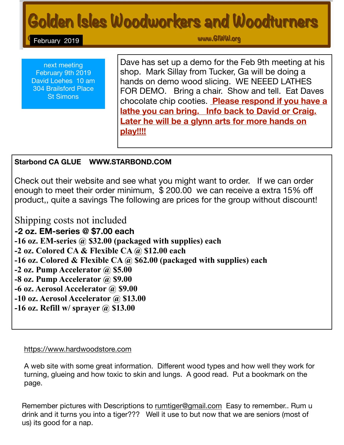# Golden Isles Woodworkers and Woodturners

February 2019

www.GlWW.org

next meeting February 9th 2019 David Loehes 10 am 304 Brailsford Place St Simons

Dave has set up a demo for the Feb 9th meeting at his shop. Mark Sillay from Tucker, Ga will be doing a hands on demo wood slicing. WE NEEED LATHES FOR DEMO. Bring a chair. Show and tell. Eat Daves chocolate chip cooties. **Please respond if you have a lathe you can bring. Info back to David or Craig. Later he will be a glynn arts for more hands on play!!!!**

## **Starbond CA GLUE WWW.STARBOND.COM**

Check out their website and see what you might want to order. If we can order enough to meet their order minimum, \$ 200.00 we can receive a extra 15% off product,, quite a savings The following are prices for the group without discount!

Shipping costs not included **-2 oz. EM-series @ \$7.00 each -16 oz. EM-series @ \$32.00 (packaged with supplies) each -2 oz. Colored CA & Flexible CA @ \$12.00 each -16 oz. Colored & Flexible CA @ \$62.00 (packaged with supplies) each -2 oz. Pump Accelerator @ \$5.00 -8 oz. Pump Accelerator @ \$9.00 -6 oz. Aerosol Accelerator @ \$9.00 -10 oz. Aerosol Accelerator @ \$13.00 -16 oz. Refill w/ sprayer @ \$13.00** 

#### <https://www.hardwoodstore.com>

A web site with some great information. Different wood types and how well they work for turning, glueing and how toxic to skin and lungs. A good read. Put a bookmark on the page.

Remember pictures with Descriptions to [rumtiger@gmail.com](mailto:rumtiger@gmail.com) Easy to remember.. Rum u drink and it turns you into a tiger??? Well it use to but now that we are seniors (most of us) its good for a nap.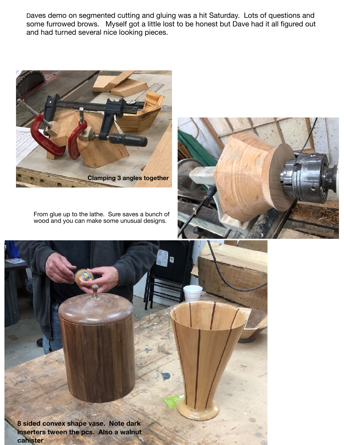Daves demo on segmented cutting and gluing was a hit Saturday. Lots of questions and some furrowed brows. Myself got a little lost to be honest but Dave had it all figured out and had turned several nice looking pieces.



From glue up to the lathe. Sure saves a bunch of wood and you can make some unusual designs.



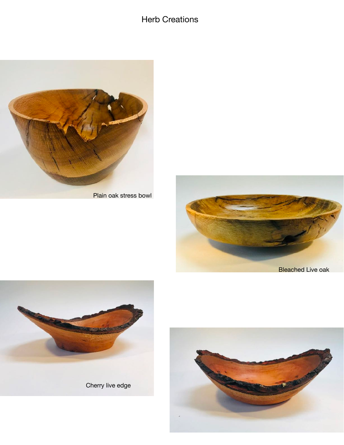Herb Creations



Plain oak stress bowl





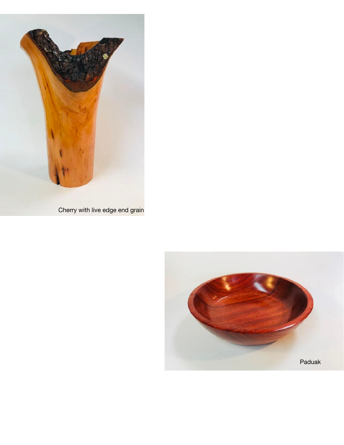

Cherry with live edge end grain

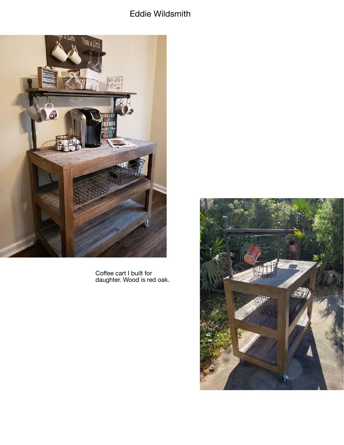# Eddie Wildsmith



Coffee cart I built for<br>daughter. Wood is red oak.

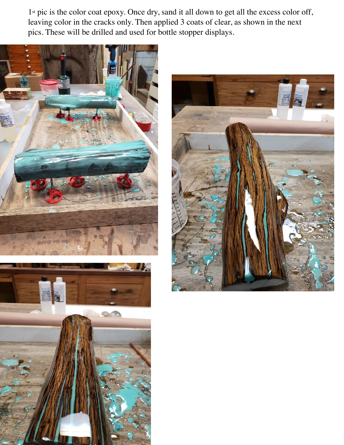1st pic is the color coat epoxy. Once dry, sand it all down to get all the excess color off, leaving color in the cracks only. Then applied 3 coats of clear, as shown in the next pics. These will be drilled and used for bottle stopper displays.